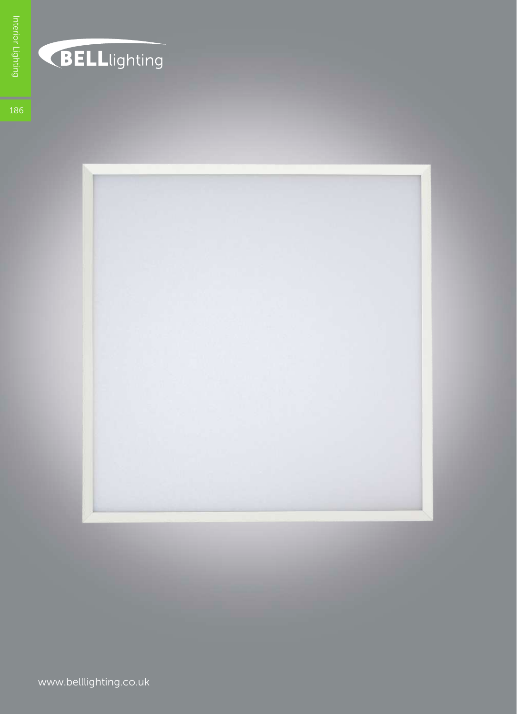

## BELLlighting

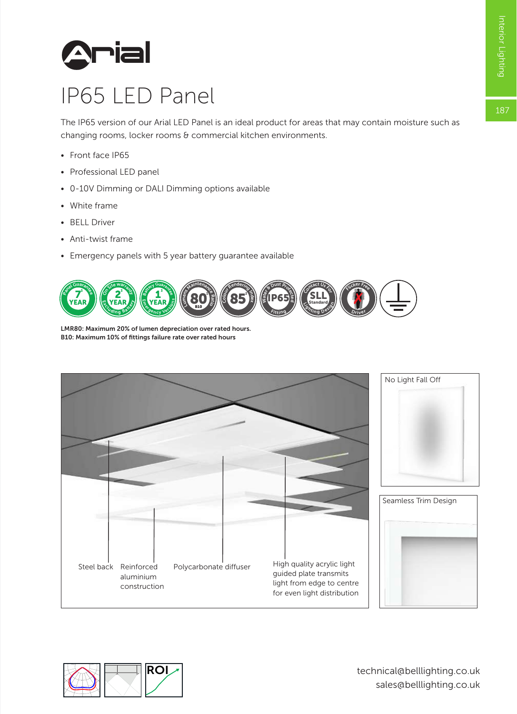

## IP65 LED Panel

The IP65 version of our Arial LED Panel is an ideal product for areas that may contain moisture such as changing rooms, locker rooms & commercial kitchen environments.

- Front face IP65
- Professional LED panel
- 0-10V Dimming or DALI Dimming options available
- White frame
- BELL Driver
- Anti-twist frame
- Emergency panels with 5 year battery guarantee available



LMR80: Maximum 20% of lumen depreciation over rated hours. B10: Maximum 10% of fittings failure rate over rated hours



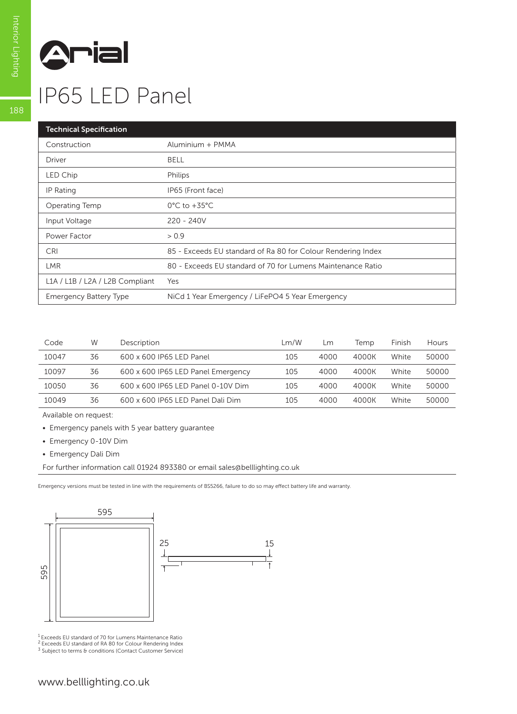

## IP65 LED Panel

| <b>Technical Specification</b>  |                                                              |
|---------------------------------|--------------------------------------------------------------|
| Construction                    | Aluminium + PMMA                                             |
| <b>Driver</b>                   | <b>BELL</b>                                                  |
| LED Chip                        | Philips                                                      |
| IP Rating                       | IP65 (Front face)                                            |
| Operating Temp                  | $0^{\circ}$ C to +35 $^{\circ}$ C                            |
| Input Voltage                   | $220 - 240V$                                                 |
| Power Factor                    | > 0.9                                                        |
| <b>CRI</b>                      | 85 - Exceeds EU standard of Ra 80 for Colour Rendering Index |
| <b>LMR</b>                      | 80 - Exceeds EU standard of 70 for Lumens Maintenance Ratio  |
| L1A / L1B / L2A / L2B Compliant | Yes                                                          |
| <b>Emergency Battery Type</b>   | NiCd 1 Year Emergency / LiFePO4 5 Year Emergency             |

| Code  | W  | Description                        | Lm/W | Lm   | Temp  | Finish | Hours |
|-------|----|------------------------------------|------|------|-------|--------|-------|
| 10047 | 36 | 600 x 600 IP65 LED Panel           | 105  | 4000 | 4000K | White  | 50000 |
| 10097 | 36 | 600 x 600 IP65 LED Panel Emergency | 105  | 4000 | 4000K | White  | 50000 |
| 10050 | 36 | 600 x 600 IP65 LED Panel 0-10V Dim | 105  | 4000 | 4000K | White  | 50000 |
| 10049 | 36 | 600 x 600 IP65 LED Panel Dali Dim  | 105  | 4000 | 4000K | White  | 50000 |
|       |    |                                    |      |      |       |        |       |

Available on request:

- Emergency panels with 5 year battery guarantee
- Emergency 0-10V Dim
- Emergency Dali Dim

For further information call 01924 893380 or email sales@belllighting.co.uk

Emergency versions must be tested in line with the requirements of BS5266, failure to do so may effect battery life and warranty.



<sup>1</sup> Exceeds EU standard of 70 for Lumens Maintenance Ratio<br><sup>2</sup> Exceeds EU standard of RA 80 for Colour Rendering Index<br><sup>3</sup> Subject to terms & conditions (Contact Customer Service)